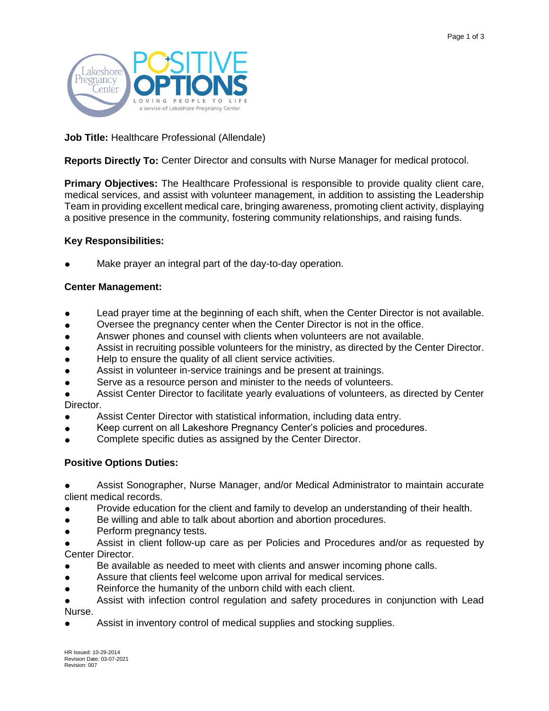

# **Job Title:** Healthcare Professional (Allendale)

**Reports Directly To:** Center Director and consults with Nurse Manager for medical protocol.

**Primary Objectives:** The Healthcare Professional is responsible to provide quality client care, medical services, and assist with volunteer management, in addition to assisting the Leadership Team in providing excellent medical care, bringing awareness, promoting client activity, displaying a positive presence in the community, fostering community relationships, and raising funds.

## **Key Responsibilities:**

Make prayer an integral part of the day-to-day operation.

## **Center Management:**

- Lead prayer time at the beginning of each shift, when the Center Director is not available.
- Oversee the pregnancy center when the Center Director is not in the office.
- Answer phones and counsel with clients when volunteers are not available.
- Assist in recruiting possible volunteers for the ministry, as directed by the Center Director.
- Help to ensure the quality of all client service activities.
- Assist in volunteer in-service trainings and be present at trainings.
- Serve as a resource person and minister to the needs of volunteers.
- Assist Center Director to facilitate yearly evaluations of volunteers, as directed by Center Director.
- Assist Center Director with statistical information, including data entry.
- Keep current on all Lakeshore Pregnancy Center's policies and procedures.
- Complete specific duties as assigned by the Center Director.

## **Positive Options Duties:**

Assist Sonographer, Nurse Manager, and/or Medical Administrator to maintain accurate client medical records.

- Provide education for the client and family to develop an understanding of their health.
- Be willing and able to talk about abortion and abortion procedures.
- Perform pregnancy tests.

Assist in client follow-up care as per Policies and Procedures and/or as requested by Center Director.

- Be available as needed to meet with clients and answer incoming phone calls.
- Assure that clients feel welcome upon arrival for medical services.
- Reinforce the humanity of the unborn child with each client.
- Assist with infection control regulation and safety procedures in conjunction with Lead Nurse.
- Assist in inventory control of medical supplies and stocking supplies.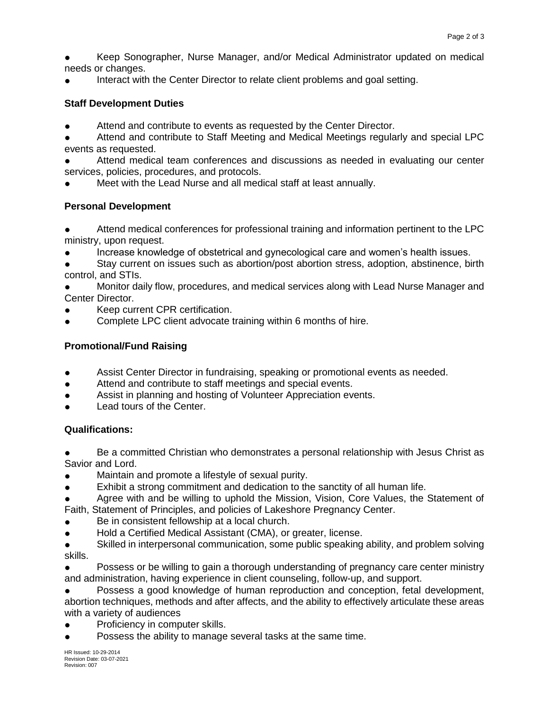Keep Sonographer, Nurse Manager, and/or Medical Administrator updated on medical needs or changes.

Interact with the Center Director to relate client problems and goal setting.

## **Staff Development Duties**

- Attend and contribute to events as requested by the Center Director.
- Attend and contribute to Staff Meeting and Medical Meetings regularly and special LPC events as requested.
- Attend medical team conferences and discussions as needed in evaluating our center services, policies, procedures, and protocols.
- Meet with the Lead Nurse and all medical staff at least annually.

# **Personal Development**

Attend medical conferences for professional training and information pertinent to the LPC ministry, upon request.

- Increase knowledge of obstetrical and gynecological care and women's health issues.
- Stay current on issues such as abortion/post abortion stress, adoption, abstinence, birth control, and STIs.

Monitor daily flow, procedures, and medical services along with Lead Nurse Manager and Center Director.

- Keep current CPR certification.
- Complete LPC client advocate training within 6 months of hire.

# **Promotional/Fund Raising**

- Assist Center Director in fundraising, speaking or promotional events as needed.
- Attend and contribute to staff meetings and special events.
- Assist in planning and hosting of Volunteer Appreciation events.
- Lead tours of the Center.

## **Qualifications:**

Be a committed Christian who demonstrates a personal relationship with Jesus Christ as Savior and Lord.

- Maintain and promote a lifestyle of sexual purity.
- Exhibit a strong commitment and dedication to the sanctity of all human life.
- Agree with and be willing to uphold the Mission, Vision, Core Values, the Statement of Faith, Statement of Principles, and policies of Lakeshore Pregnancy Center.
- Be in consistent fellowship at a local church.
- Hold a Certified Medical Assistant (CMA), or greater, license.
- Skilled in interpersonal communication, some public speaking ability, and problem solving skills.

Possess or be willing to gain a thorough understanding of pregnancy care center ministry and administration, having experience in client counseling, follow-up, and support.

Possess a good knowledge of human reproduction and conception, fetal development, abortion techniques, methods and after affects, and the ability to effectively articulate these areas with a variety of audiences

- Proficiency in computer skills.
- Possess the ability to manage several tasks at the same time.